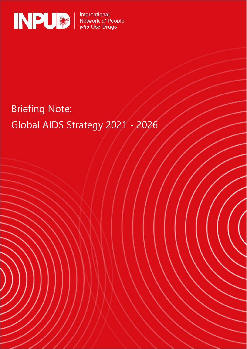

International<br>Network *of* People<br>*who* Use Drugs

## Briefing Note: Global AIDS Strategy 2021 - 2026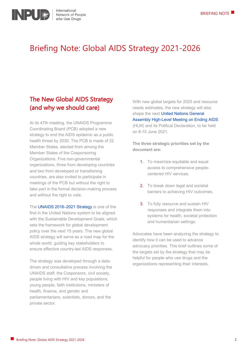

### Briefing Note: Global AIDS Strategy 2021-2026

#### The New Global AIDS Strategy (and why we should care)

At its 47th meeting, the UNAIDS Programme Coordinating Board (PCB) adopted a new strategy to end the AIDS epidemic as a public health threat by 2030. The PCB is made of 22 Member States, elected from among the Member States of the Cosponsoring Organizations. Five non-governmental organizations, three from developing countries and two from developed or transitioning countries, are also invited to participate in meetings of the PCB but without the right to take part in the formal decision-making process and without the right to vote.

The UNAIDS 2016-2021 Strategy is one of the first in the United Nations system to be aligned with the Sustainable Development Goals, which sets the framework for global development policy over the next 15 years. The new global AIDS strategy will serve as a road map for the whole world, guiding key stakeholders to ensure effective country-led AIDS responses.

The strategy was developed through a datadriven and consultative process involving the UNAIDS staff, the Cosponsors, civil society, people living with HIV and key populations, young people, faith institutions, ministers of health, finance, and gender and parliamentarians, scientists, donors, and the private sector.

With new global targets for 2025 and resource needs estimates, the new strategy will also shape the next United Nations General [Assembly High-Level Meeting on Ending AIDS](https://www.unaids.org/en/resources/presscentre/pressreleaseandstatementarchive/2021/february/high-level-meeting#:%7E:text=General%20Assembly%20dec-,GENEVA%2C%2025%20February%202021%E2%80%94UNAIDS%20welcomes%20the%20United%20Nations%20General,8%20to%2010%20June%202021.&text=The%20high%2Dlevel%20meeting%20will%20take%20place%20as%20the%20world,and%2025%20years%20of%20UNAIDS.) (HLM) and its Political Declaration, to be held on 8-10 June 2021.

**The three strategic priorities set by the document are:**

- 1. To maximize equitable and equal access to comprehensive peoplecentered HIV services.
- 2. To break down legal and societal barriers to achieving HIV outcomes.
- 3. To fully resource and sustain HIV responses and integrate them into systems for health, societal protection and humanitarian settings.

Advocates have been analyzing the strategy to identify how it can be used to advance advocacy priorities. This brief outlines some of the targets set by the strategy that may be helpful for people who use drugs and the organizations representing their interests.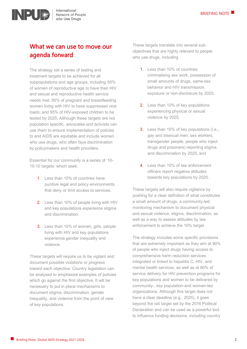

#### What we can use to move our agenda forward

The strategy set a series of testing and treatment targets to be achieved for all subpopulations and age groups, including 95% of women of reproductive age to have their HIV and sexual and reproductive health service needs met; 95% of pregnant and breastfeeding women living with HIV to have suppressed viral loads; and 95% of HIV-exposed children to be tested by 2025. Although these targets are not population specific, advocates and activists can use them to ensure implementation of policies to end AIDS are equitable and include women who use drugs, who often face discrimination by policymakers and health providers.

Essential for our community is a series of '10- 10-10 targets' which seek:

- 1. Less than 10% of countries have punitive legal and policy environments that deny or limit access to services,
- 2. Less than 10% of people living with HIV and key populations experience stigma and discrimination,
- 3. Less than 10% of women, girls, people living with HIV and key populations experience gender inequality and violence.

These targets will require us to be vigilant and document possible violations or progress toward each objective. Country legislation can be analysed to emphasise examples of policies which go against the first objective. It will be necessary to put in place mechanisms to document stigma, discrimination, gender inequality, and violence from the point of view of key populations.

These targets translate into several subobjectives that are highly relevant to people who use drugs, including

- 1. Less than 10% of countries criminalising sex work, possession of small amounts of drugs, same-sex behavior and HIV transmission, exposure or non-disclosure by 2025,
- 2. Less than 10% of key populations experiencing physical or sexual violence by 2025,
- 3. Less than 10% of key populations (i.e., gay and bisexual men, sex workers, transgender people, people who inject drugs and prisoners) reporting stigma and discrimination by 2025, and
- 4. Less than 10% of law enforcement officers report negative attitudes towards key populations by 2025.

These targets will also require vigilance by pushing for a clear definition of what constitutes a small amount of drugs, a community-led monitoring mechanism to document physical and sexual violence, stigma, discrimination, as well as a way to assess attitudes by law enforcement to achieve the 10% target.

The strategy includes some specific provisions that are extremely important as they aim at 90% of people who inject drugs having access to comprehensive harm reduction services integrated or linked to hepatitis C, HIV, and mental health services, as well as at 80% of service delivery for HIV prevention programs for key populations and women to be delivered by community-, key population-and women-led organizations. Although this target does not have a clear deadline (e.g., 2025), it goes beyond the old target set by the 2016 Political Declaration and can be used as a powerful tool to influence funding decisions, including country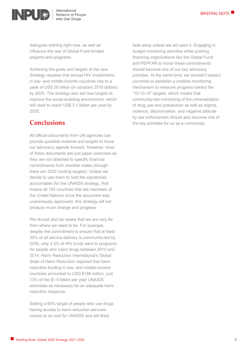

International Network of People who Use Drugs

dialogues starting right now, as well as influence the rest of Global Fund-funded projects and programs.

Achieving the goals and targets of the new Strategy requires that annual HIV investments in low- and middle-income countries rise to a peak of US\$ 29 billion (in constant 2019 dollars) by 2025. The strategy also set new targets to improve the social enabling environment, which will need to reach US\$ 3.1 billion per year by 2025.

#### **Conclusions**

All official documents from UN agencies can provide quotable material and targets to move our advocacy agenda forward. However, most of these documents are just paper exercises as they are not attached to specific financial commitments from member states (though there are 2025 funding targets). Unless we decide to use them to hold the signatories accountable (for the UNAIDS strategy, that means all 193 countries that are members of the United Nations since the document was unanimously approved), this strategy will not produce much change and progress.

We should also be aware that we are very far from where we need to be. For example, despite the commitment to ensure that at least 30% of all service delivery is community-led by 2030, only 3.3% of HIV funds went to programs for people who inject drugs between 2010 and 2014. [Harm Reduction International's Global](about:blank)  [State of Harm Reduction](about:blank) reported that harm reduction funding in low- and middle-income countries amounted to USD \$188 million, just 13% of the \$1.5 billion per year UNAIDS estimates as necessary for an adequate harm reduction response.

Setting a 90% target of people who use drugs having access to harm reduction services comes at no cost for UNAIDS and will likely

fade away unless we act upon it. Engaging in budget monitoring activities while pushing financing organizations like the Global Fund and PEPFAR to honor these commitments should become one of our key advocacy priorities. At the same time, we shouldn't expect countries to establish a credible monitoring mechanism to measure progress toward the "10-10-10" targets, which means that community-led monitoring of the criminalization of drug use and possession as well as stigma, violence, discrimination, and negative attitude by law enforcement should also become one of the key priorities for us as a community.